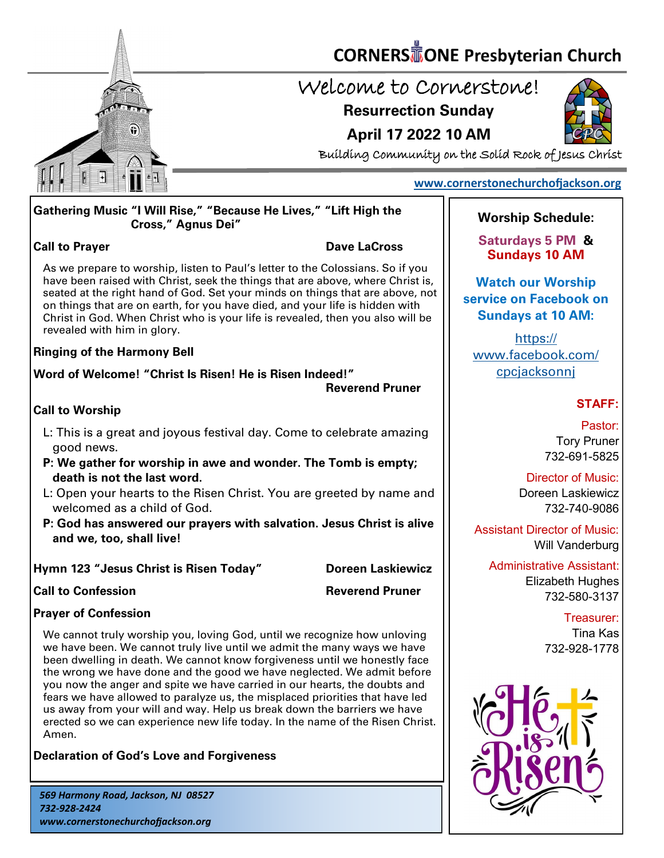

### **CORNERS** TONE Presbyterian Church

### Welcome to Cornerstone!

**April 17 2022 10 AM**

**Resurrection Sunday**



Building Community on the Solid Rock of Jesus Christ

#### **[www.cornerstonechurchofjackson.org](http://www.cornerstonechurchofjackson.org)**

#### **Gathering Music "I Will Rise," "Because He Lives," "Lift High the Cross," Agnus Dei"**

#### **Call to Prayer Dave LaCross**

 As we prepare to worship, listen to Paul's letter to the Colossians. So if you have been raised with Christ, seek the things that are above, where Christ is, seated at the right hand of God. Set your minds on things that are above, not on things that are on earth, for you have died, and your life is hidden with Christ in God. When Christ who is your life is revealed, then you also will be revealed with him in glory.

#### **Ringing of the Harmony Bell**

**Word of Welcome! "Christ Is Risen! He is Risen Indeed!"** 

**Reverend Pruner**

#### **Call to Worship**

- L: This is a great and joyous festival day. Come to celebrate amazing good news.
- **P: We gather for worship in awe and wonder. The Tomb is empty; death is not the last word.**
- L: Open your hearts to the Risen Christ. You are greeted by name and welcomed as a child of God.
- **P: God has answered our prayers with salvation. Jesus Christ is alive and we, too, shall live!**

#### **Hymn 123 "Jesus Christ is Risen Today" Doreen Laskiewicz**

**Call to Confession Reverend Pruner** 

#### **Prayer of Confession**

We cannot truly worship you, loving God, until we recognize how unloving we have been. We cannot truly live until we admit the many ways we have been dwelling in death. We cannot know forgiveness until we honestly face the wrong we have done and the good we have neglected. We admit before you now the anger and spite we have carried in our hearts, the doubts and fears we have allowed to paralyze us, the misplaced priorities that have led us away from your will and way. Help us break down the barriers we have erected so we can experience new life today. In the name of the Risen Christ. Amen.

**Declaration of God's Love and Forgiveness**

### **Worship Schedule:**

**Saturdays 5 PM & Sundays 10 AM**

**Watch our Worship service on Facebook on Sundays at 10 AM:**

[https://](https://www.facebook.com/cpcjacksonnj) [www.facebook.com/](https://www.facebook.com/cpcjacksonnj) **cpcjacksonni** 

#### **STAFF:**

Pastor: Tory Pruner 732-691-5825

Director of Music: Doreen Laskiewicz 732-740-9086

Assistant Director of Music: Will Vanderburg

Administrative Assistant: Elizabeth Hughes 732-580-3137

> Treasurer: Tina Kas 732-928-1778

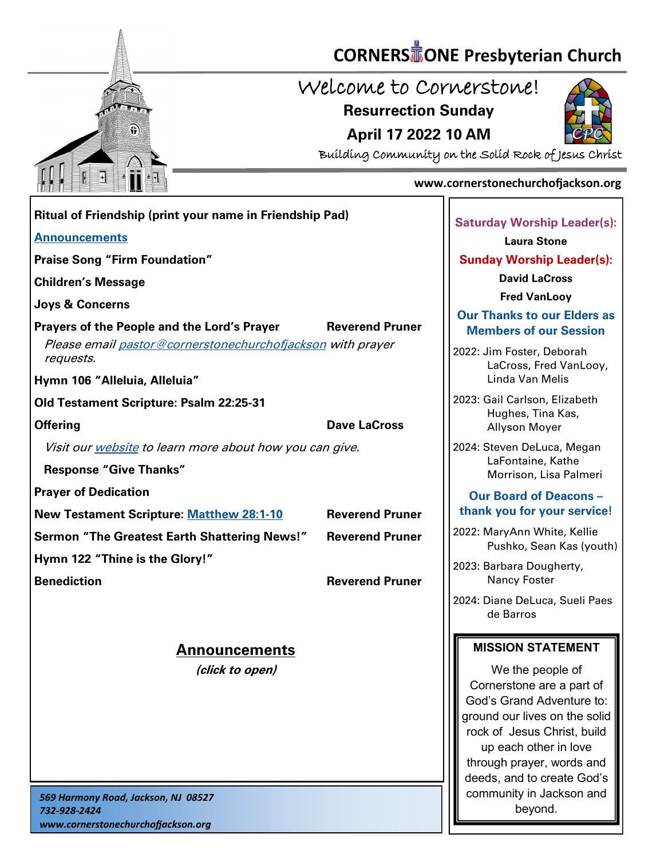

*www.cornerstonechurchofjackson.org*

# **CORNERS** TONE Presbyterian Church

Welcome to Cornerstone!

**Resurrection Sunday**





Building Community on the Solid Rock of Jesus Christ

#### **www.cornerstonechurchofjackson.org**

| Ritual of Friendship (print your name in Friendship Pad)                |                        |                                                                                                                                                                                                                                                            |
|-------------------------------------------------------------------------|------------------------|------------------------------------------------------------------------------------------------------------------------------------------------------------------------------------------------------------------------------------------------------------|
| <b>Announcements</b>                                                    |                        | <b>Saturday Worship Leader(s):</b><br><b>Laura Stone</b>                                                                                                                                                                                                   |
| <b>Praise Song "Firm Foundation"</b>                                    |                        | <b>Sunday Worship Leader(s):</b>                                                                                                                                                                                                                           |
|                                                                         |                        | <b>David LaCross</b>                                                                                                                                                                                                                                       |
| <b>Children's Message</b>                                               |                        | <b>Fred VanLooy</b>                                                                                                                                                                                                                                        |
| Joys & Concerns<br>Prayers of the People and the Lord's Prayer          | <b>Reverend Pruner</b> | <b>Our Thanks to our Elders as</b><br><b>Members of our Session</b>                                                                                                                                                                                        |
| Please email pastor@cornerstonechurchofjackson with prayer<br>requests. |                        | 2022: Jim Foster, Deborah<br>LaCross, Fred VanLooy,                                                                                                                                                                                                        |
| Hymn 106 "Alleluia, Alleluia"                                           |                        | Linda Van Melis                                                                                                                                                                                                                                            |
| Old Testament Scripture: Psalm 22:25-31                                 |                        | 2023: Gail Carlson, Elizabeth                                                                                                                                                                                                                              |
| <b>Offering</b>                                                         | <b>Dave LaCross</b>    | Hughes, Tina Kas,<br>Allyson Moyer                                                                                                                                                                                                                         |
| Visit our website to learn more about how you can give.                 |                        | 2024: Steven DeLuca, Megan                                                                                                                                                                                                                                 |
| <b>Response "Give Thanks"</b>                                           |                        | LaFontaine, Kathe<br>Morrison, Lisa Palmeri                                                                                                                                                                                                                |
| <b>Prayer of Dedication</b>                                             |                        | <b>Our Board of Deacons -</b>                                                                                                                                                                                                                              |
| <b>New Testament Scripture: Matthew 28:1-10</b>                         | <b>Reverend Pruner</b> | thank you for your service!                                                                                                                                                                                                                                |
| <b>Sermon "The Greatest Earth Shattering News!"</b>                     | <b>Reverend Pruner</b> | 2022: MaryAnn White, Kellie<br>Pushko, Sean Kas (youth)                                                                                                                                                                                                    |
| Hymn 122 "Thine is the Glory!"                                          |                        | 2023: Barbara Dougherty,                                                                                                                                                                                                                                   |
| <b>Benediction</b>                                                      | <b>Reverend Pruner</b> | <b>Nancy Foster</b>                                                                                                                                                                                                                                        |
|                                                                         |                        | 2024: Diane DeLuca, Sueli Paes<br>de Barros                                                                                                                                                                                                                |
| <b>Announcements</b>                                                    |                        | <b>MISSION STATEMENT</b>                                                                                                                                                                                                                                   |
| (click to open)                                                         |                        | We the people of<br>Cornerstone are a part of<br>God's Grand Adventure to:<br>ground our lives on the solid<br>rock of Jesus Christ, build<br>up each other in love<br>through prayer, words and<br>deeds, and to create God's<br>community in Jackson and |
| 569 Harmony Road, Jackson, NJ 08527<br>732-928-2424                     |                        | beyond.                                                                                                                                                                                                                                                    |